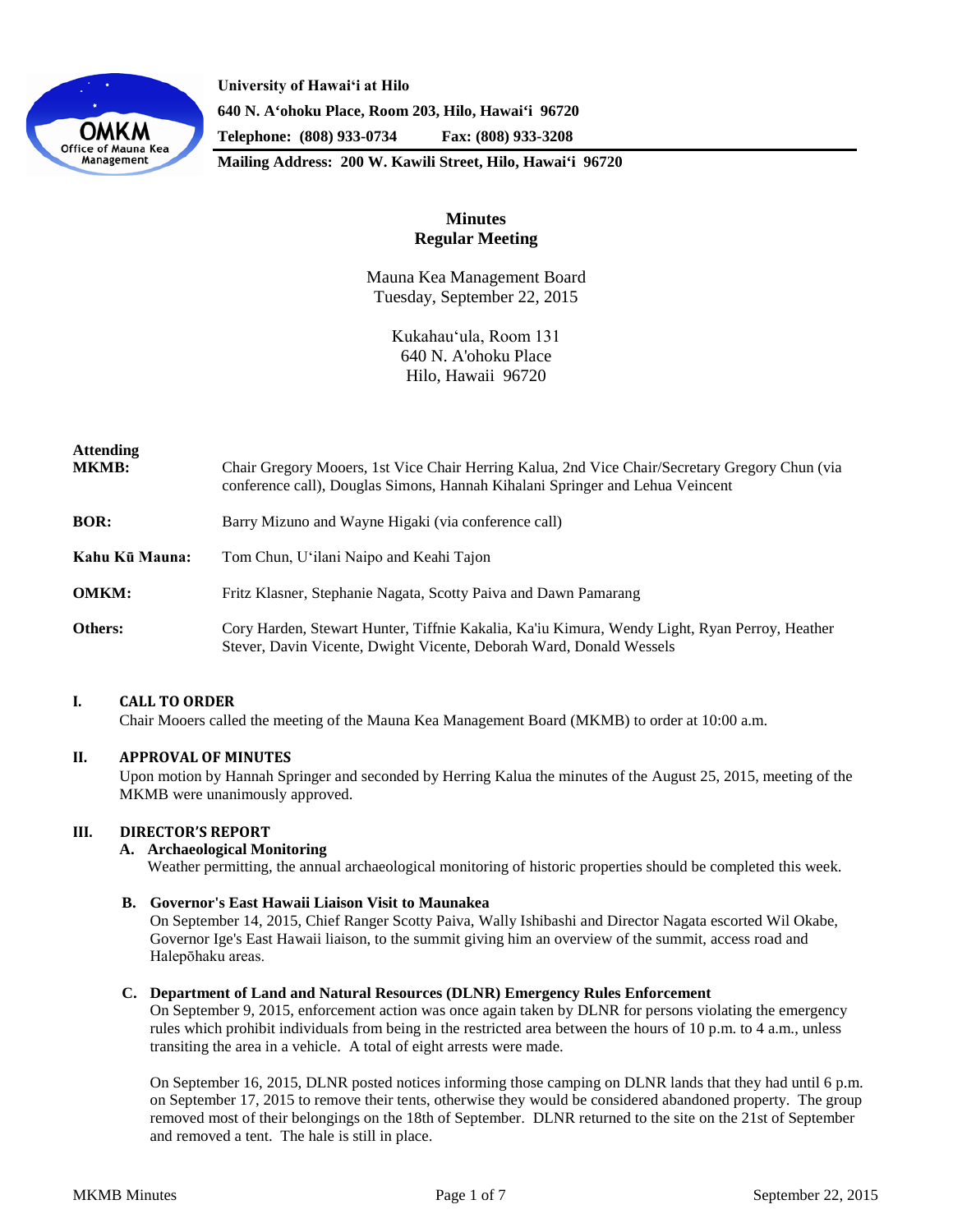

**University of Hawaiʻi at Hilo 640 N. A'ohoku Place, Room 203, Hilo, Hawai'i 96720 Telephone: (808) 933-0734 Fax: (808) 933-3208**

**Mailing Address: 200 W. Kawili Street, Hilo, Hawai'i 96720**

# **Minutes Regular Meeting**

Mauna Kea Management Board Tuesday, September 22, 2015

> Kukahauʻula, Room 131 640 N. A'ohoku Place Hilo, Hawaii 96720

| <b>Attending</b><br><b>MKMB:</b> | Chair Gregory Mooers, 1st Vice Chair Herring Kalua, 2nd Vice Chair/Secretary Gregory Chun (via<br>conference call), Douglas Simons, Hannah Kihalani Springer and Lehua Veincent |
|----------------------------------|---------------------------------------------------------------------------------------------------------------------------------------------------------------------------------|
| <b>BOR:</b>                      | Barry Mizuno and Wayne Higaki (via conference call)                                                                                                                             |
| Kahu Kū Mauna:                   | Tom Chun, U'ilani Naipo and Keahi Tajon                                                                                                                                         |
| <b>OMKM:</b>                     | Fritz Klasner, Stephanie Nagata, Scotty Paiva and Dawn Pamarang                                                                                                                 |
| Others:                          | Cory Harden, Stewart Hunter, Tiffnie Kakalia, Ka'iu Kimura, Wendy Light, Ryan Perroy, Heather<br>Stever, Davin Vicente, Dwight Vicente, Deborah Ward, Donald Wessels            |

# **I. CALL TO ORDER**

Chair Mooers called the meeting of the Mauna Kea Management Board (MKMB) to order at 10:00 a.m.

## **II. APPROVAL OF MINUTES**

Upon motion by Hannah Springer and seconded by Herring Kalua the minutes of the August 25, 2015, meeting of the MKMB were unanimously approved.

## **III. DIRECTOR'S REPORT**

## **A. Archaeological Monitoring**

Weather permitting, the annual archaeological monitoring of historic properties should be completed this week.

## **B. Governor's East Hawaii Liaison Visit to Maunakea**

On September 14, 2015, Chief Ranger Scotty Paiva, Wally Ishibashi and Director Nagata escorted Wil Okabe, Governor Ige's East Hawaii liaison, to the summit giving him an overview of the summit, access road and Halepōhaku areas.

## **C. Department of Land and Natural Resources (DLNR) Emergency Rules Enforcement**

On September 9, 2015, enforcement action was once again taken by DLNR for persons violating the emergency rules which prohibit individuals from being in the restricted area between the hours of 10 p.m. to 4 a.m., unless transiting the area in a vehicle. A total of eight arrests were made.

On September 16, 2015, DLNR posted notices informing those camping on DLNR lands that they had until 6 p.m. on September 17, 2015 to remove their tents, otherwise they would be considered abandoned property. The group removed most of their belongings on the 18th of September. DLNR returned to the site on the 21st of September and removed a tent. The hale is still in place.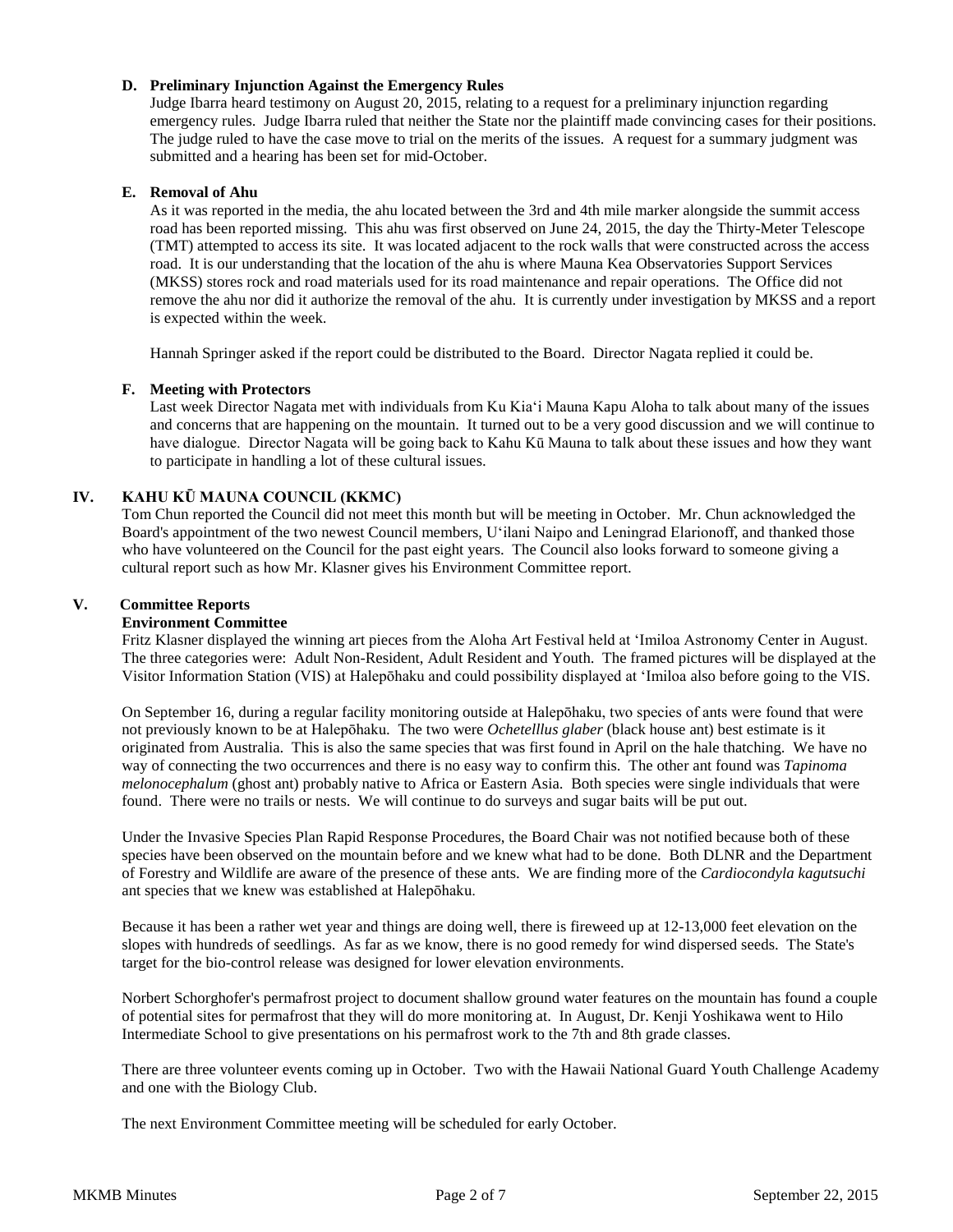# **D. Preliminary Injunction Against the Emergency Rules**

Judge Ibarra heard testimony on August 20, 2015, relating to a request for a preliminary injunction regarding emergency rules. Judge Ibarra ruled that neither the State nor the plaintiff made convincing cases for their positions. The judge ruled to have the case move to trial on the merits of the issues. A request for a summary judgment was submitted and a hearing has been set for mid-October.

## **E. Removal of Ahu**

As it was reported in the media, the ahu located between the 3rd and 4th mile marker alongside the summit access road has been reported missing. This ahu was first observed on June 24, 2015, the day the Thirty-Meter Telescope (TMT) attempted to access its site. It was located adjacent to the rock walls that were constructed across the access road. It is our understanding that the location of the ahu is where Mauna Kea Observatories Support Services (MKSS) stores rock and road materials used for its road maintenance and repair operations. The Office did not remove the ahu nor did it authorize the removal of the ahu. It is currently under investigation by MKSS and a report is expected within the week.

Hannah Springer asked if the report could be distributed to the Board. Director Nagata replied it could be.

## **F. Meeting with Protectors**

Last week Director Nagata met with individuals from Ku Kiaʻi Mauna Kapu Aloha to talk about many of the issues and concerns that are happening on the mountain. It turned out to be a very good discussion and we will continue to have dialogue. Director Nagata will be going back to Kahu Kū Mauna to talk about these issues and how they want to participate in handling a lot of these cultural issues.

# **IV. KAHU KŪ MAUNA COUNCIL (KKMC)**

Tom Chun reported the Council did not meet this month but will be meeting in October. Mr. Chun acknowledged the Board's appointment of the two newest Council members, Uʻilani Naipo and Leningrad Elarionoff, and thanked those who have volunteered on the Council for the past eight years. The Council also looks forward to someone giving a cultural report such as how Mr. Klasner gives his Environment Committee report.

## **V. Committee Reports**

## **Environment Committee**

Fritz Klasner displayed the winning art pieces from the Aloha Art Festival held at ʻImiloa Astronomy Center in August. The three categories were: Adult Non-Resident, Adult Resident and Youth. The framed pictures will be displayed at the Visitor Information Station (VIS) at Halepōhaku and could possibility displayed at ʻImiloa also before going to the VIS.

On September 16, during a regular facility monitoring outside at Halepōhaku, two species of ants were found that were not previously known to be at Halepōhaku. The two were *Ochetelllus glaber* (black house ant) best estimate is it originated from Australia. This is also the same species that was first found in April on the hale thatching. We have no way of connecting the two occurrences and there is no easy way to confirm this. The other ant found was *Tapinoma melonocephalum* (ghost ant) probably native to Africa or Eastern Asia. Both species were single individuals that were found. There were no trails or nests. We will continue to do surveys and sugar baits will be put out.

Under the Invasive Species Plan Rapid Response Procedures, the Board Chair was not notified because both of these species have been observed on the mountain before and we knew what had to be done. Both DLNR and the Department of Forestry and Wildlife are aware of the presence of these ants. We are finding more of the *Cardiocondyla kagutsuchi* ant species that we knew was established at Halepōhaku.

Because it has been a rather wet year and things are doing well, there is fireweed up at 12-13,000 feet elevation on the slopes with hundreds of seedlings. As far as we know, there is no good remedy for wind dispersed seeds. The State's target for the bio-control release was designed for lower elevation environments.

Norbert Schorghofer's permafrost project to document shallow ground water features on the mountain has found a couple of potential sites for permafrost that they will do more monitoring at. In August, Dr. Kenji Yoshikawa went to Hilo Intermediate School to give presentations on his permafrost work to the 7th and 8th grade classes.

There are three volunteer events coming up in October. Two with the Hawaii National Guard Youth Challenge Academy and one with the Biology Club.

The next Environment Committee meeting will be scheduled for early October.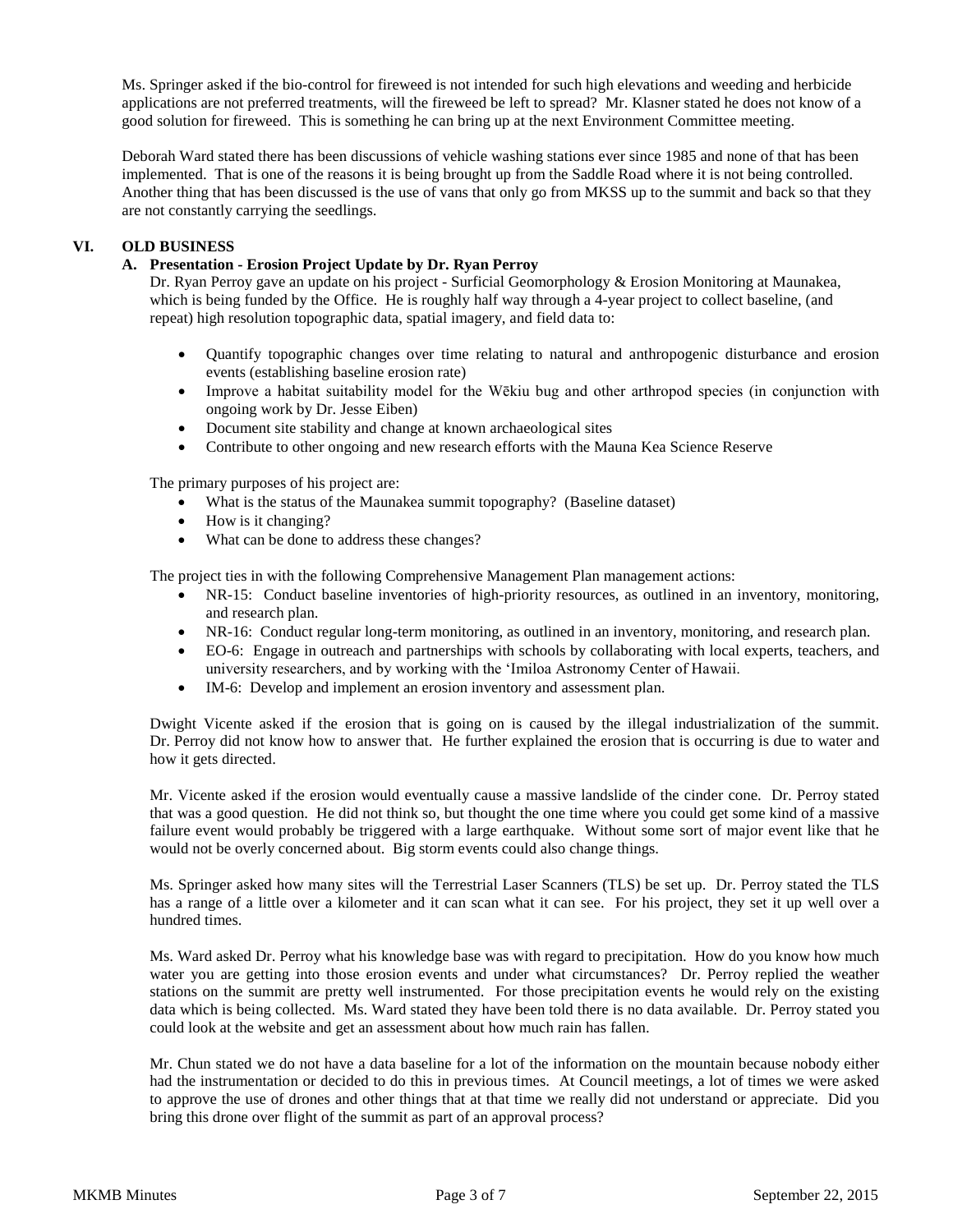Ms. Springer asked if the bio-control for fireweed is not intended for such high elevations and weeding and herbicide applications are not preferred treatments, will the fireweed be left to spread? Mr. Klasner stated he does not know of a good solution for fireweed. This is something he can bring up at the next Environment Committee meeting.

Deborah Ward stated there has been discussions of vehicle washing stations ever since 1985 and none of that has been implemented. That is one of the reasons it is being brought up from the Saddle Road where it is not being controlled. Another thing that has been discussed is the use of vans that only go from MKSS up to the summit and back so that they are not constantly carrying the seedlings.

# **VI. OLD BUSINESS**

# **A. Presentation - Erosion Project Update by Dr. Ryan Perroy**

Dr. Ryan Perroy gave an update on his project - Surficial Geomorphology & Erosion Monitoring at Maunakea, which is being funded by the Office. He is roughly half way through a 4-year project to collect baseline, (and repeat) high resolution topographic data, spatial imagery, and field data to:

- Quantify topographic changes over time relating to natural and anthropogenic disturbance and erosion events (establishing baseline erosion rate)
- Improve a habitat suitability model for the Wēkiu bug and other arthropod species (in conjunction with ongoing work by Dr. Jesse Eiben)
- Document site stability and change at known archaeological sites
- Contribute to other ongoing and new research efforts with the Mauna Kea Science Reserve

The primary purposes of his project are:

- What is the status of the Maunakea summit topography? (Baseline dataset)
- How is it changing?
- What can be done to address these changes?

The project ties in with the following Comprehensive Management Plan management actions:

- NR-15: Conduct baseline inventories of high-priority resources, as outlined in an inventory, monitoring, and research plan.
- NR-16: Conduct regular long-term monitoring, as outlined in an inventory, monitoring, and research plan.
- EO-6: Engage in outreach and partnerships with schools by collaborating with local experts, teachers, and university researchers, and by working with the ʻImiloa Astronomy Center of Hawaii.
- IM-6: Develop and implement an erosion inventory and assessment plan.

Dwight Vicente asked if the erosion that is going on is caused by the illegal industrialization of the summit. Dr. Perroy did not know how to answer that. He further explained the erosion that is occurring is due to water and how it gets directed.

Mr. Vicente asked if the erosion would eventually cause a massive landslide of the cinder cone. Dr. Perroy stated that was a good question. He did not think so, but thought the one time where you could get some kind of a massive failure event would probably be triggered with a large earthquake. Without some sort of major event like that he would not be overly concerned about. Big storm events could also change things.

Ms. Springer asked how many sites will the Terrestrial Laser Scanners (TLS) be set up. Dr. Perroy stated the TLS has a range of a little over a kilometer and it can scan what it can see. For his project, they set it up well over a hundred times.

Ms. Ward asked Dr. Perroy what his knowledge base was with regard to precipitation. How do you know how much water you are getting into those erosion events and under what circumstances? Dr. Perroy replied the weather stations on the summit are pretty well instrumented. For those precipitation events he would rely on the existing data which is being collected. Ms. Ward stated they have been told there is no data available. Dr. Perroy stated you could look at the website and get an assessment about how much rain has fallen.

Mr. Chun stated we do not have a data baseline for a lot of the information on the mountain because nobody either had the instrumentation or decided to do this in previous times. At Council meetings, a lot of times we were asked to approve the use of drones and other things that at that time we really did not understand or appreciate. Did you bring this drone over flight of the summit as part of an approval process?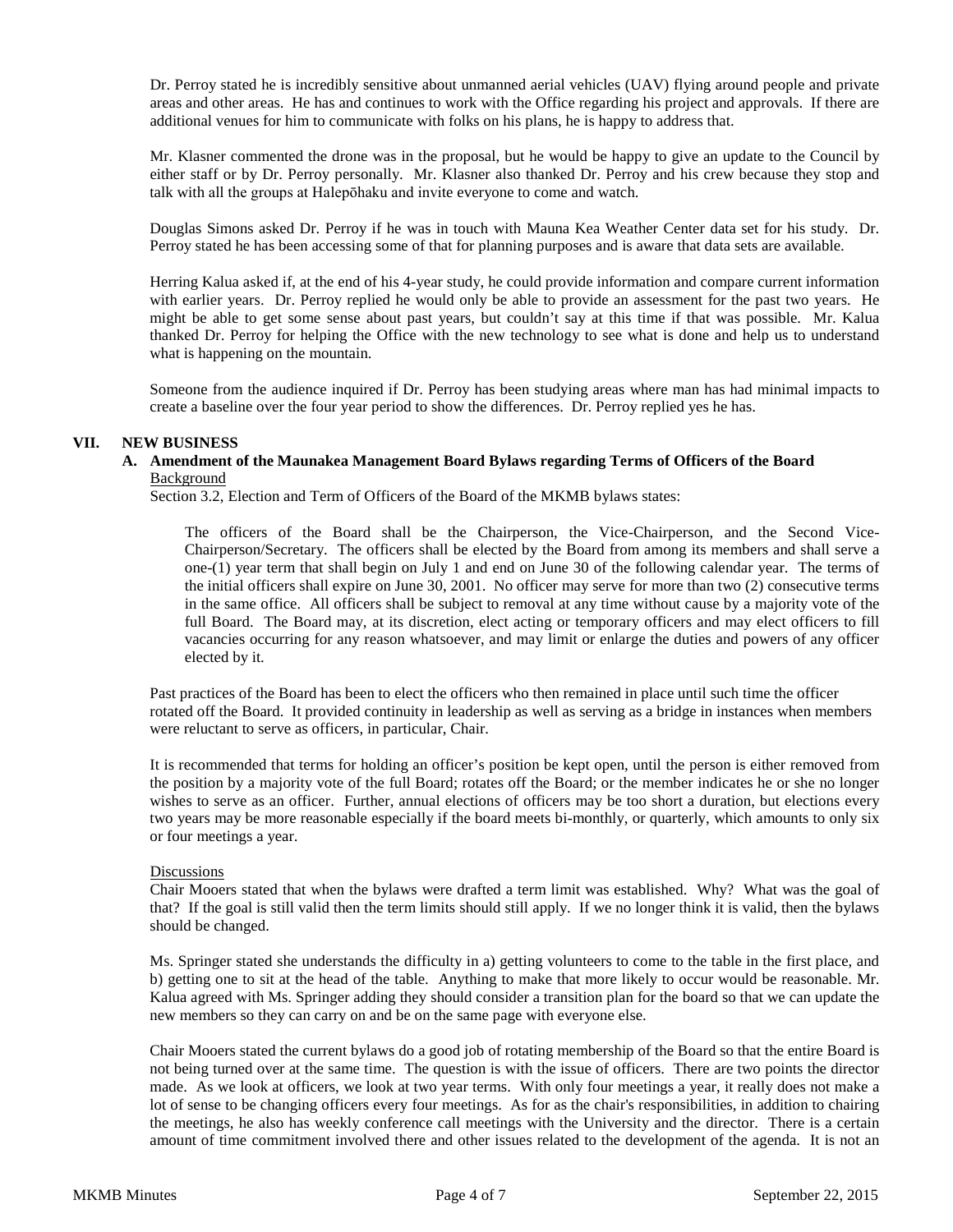Dr. Perroy stated he is incredibly sensitive about unmanned aerial vehicles (UAV) flying around people and private areas and other areas. He has and continues to work with the Office regarding his project and approvals. If there are additional venues for him to communicate with folks on his plans, he is happy to address that.

Mr. Klasner commented the drone was in the proposal, but he would be happy to give an update to the Council by either staff or by Dr. Perroy personally. Mr. Klasner also thanked Dr. Perroy and his crew because they stop and talk with all the groups at Halepōhaku and invite everyone to come and watch.

Douglas Simons asked Dr. Perroy if he was in touch with Mauna Kea Weather Center data set for his study. Dr. Perroy stated he has been accessing some of that for planning purposes and is aware that data sets are available.

Herring Kalua asked if, at the end of his 4-year study, he could provide information and compare current information with earlier years. Dr. Perroy replied he would only be able to provide an assessment for the past two years. He might be able to get some sense about past years, but couldn't say at this time if that was possible. Mr. Kalua thanked Dr. Perroy for helping the Office with the new technology to see what is done and help us to understand what is happening on the mountain.

Someone from the audience inquired if Dr. Perroy has been studying areas where man has had minimal impacts to create a baseline over the four year period to show the differences. Dr. Perroy replied yes he has.

## **VII. NEW BUSINESS**

## **A. Amendment of the Maunakea Management Board Bylaws regarding Terms of Officers of the Board**  Background

Section 3.2, Election and Term of Officers of the Board of the MKMB bylaws states:

The officers of the Board shall be the Chairperson, the Vice-Chairperson, and the Second Vice-Chairperson/Secretary. The officers shall be elected by the Board from among its members and shall serve a one-(1) year term that shall begin on July 1 and end on June 30 of the following calendar year. The terms of the initial officers shall expire on June 30, 2001. No officer may serve for more than two (2) consecutive terms in the same office. All officers shall be subject to removal at any time without cause by a majority vote of the full Board. The Board may, at its discretion, elect acting or temporary officers and may elect officers to fill vacancies occurring for any reason whatsoever, and may limit or enlarge the duties and powers of any officer elected by it.

Past practices of the Board has been to elect the officers who then remained in place until such time the officer rotated off the Board. It provided continuity in leadership as well as serving as a bridge in instances when members were reluctant to serve as officers, in particular, Chair.

It is recommended that terms for holding an officer's position be kept open, until the person is either removed from the position by a majority vote of the full Board; rotates off the Board; or the member indicates he or she no longer wishes to serve as an officer. Further, annual elections of officers may be too short a duration, but elections every two years may be more reasonable especially if the board meets bi-monthly, or quarterly, which amounts to only six or four meetings a year.

# **Discussions**

Chair Mooers stated that when the bylaws were drafted a term limit was established. Why? What was the goal of that? If the goal is still valid then the term limits should still apply. If we no longer think it is valid, then the bylaws should be changed.

Ms. Springer stated she understands the difficulty in a) getting volunteers to come to the table in the first place, and b) getting one to sit at the head of the table. Anything to make that more likely to occur would be reasonable. Mr. Kalua agreed with Ms. Springer adding they should consider a transition plan for the board so that we can update the new members so they can carry on and be on the same page with everyone else.

Chair Mooers stated the current bylaws do a good job of rotating membership of the Board so that the entire Board is not being turned over at the same time. The question is with the issue of officers. There are two points the director made. As we look at officers, we look at two year terms. With only four meetings a year, it really does not make a lot of sense to be changing officers every four meetings. As for as the chair's responsibilities, in addition to chairing the meetings, he also has weekly conference call meetings with the University and the director. There is a certain amount of time commitment involved there and other issues related to the development of the agenda. It is not an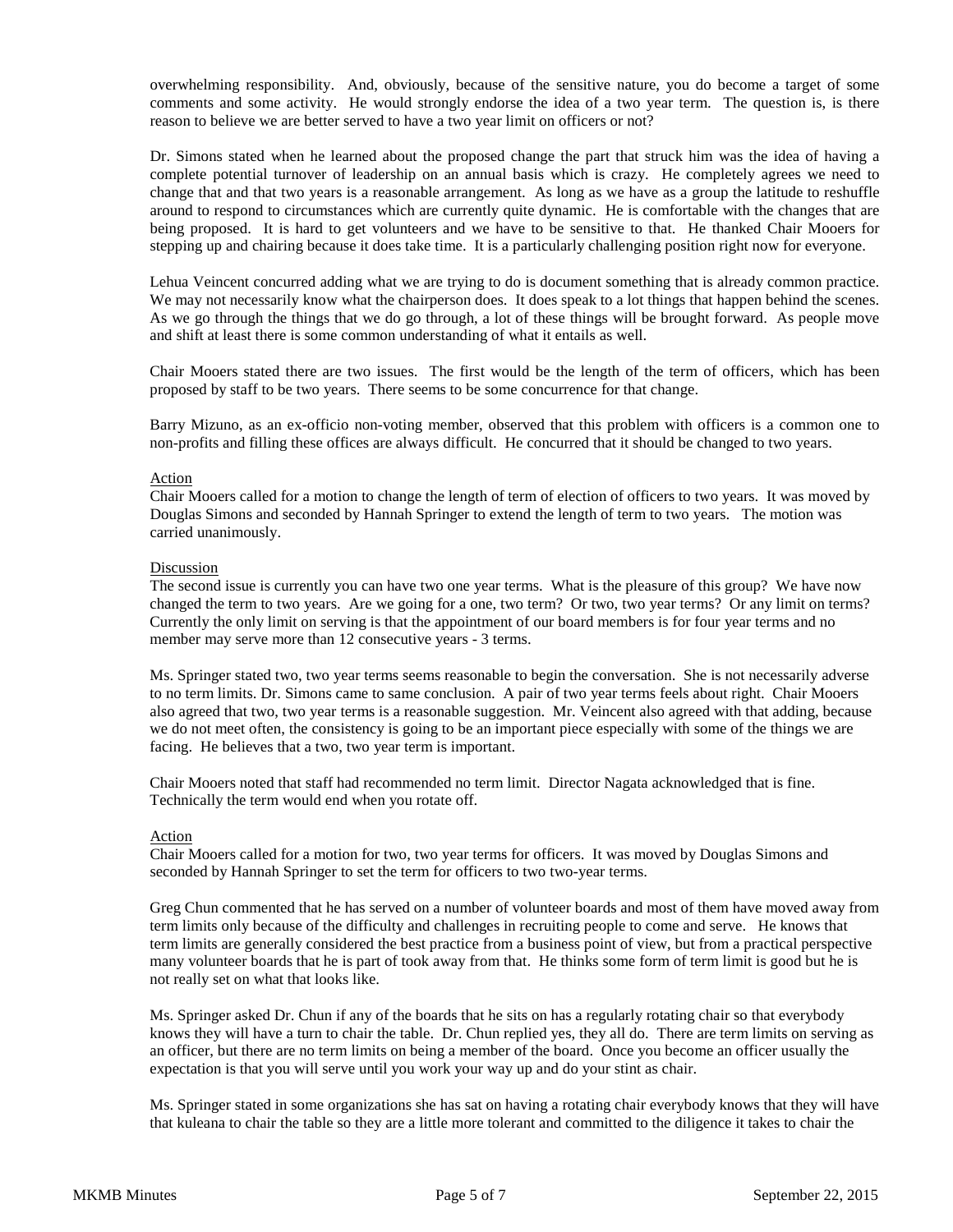overwhelming responsibility. And, obviously, because of the sensitive nature, you do become a target of some comments and some activity. He would strongly endorse the idea of a two year term. The question is, is there reason to believe we are better served to have a two year limit on officers or not?

Dr. Simons stated when he learned about the proposed change the part that struck him was the idea of having a complete potential turnover of leadership on an annual basis which is crazy. He completely agrees we need to change that and that two years is a reasonable arrangement. As long as we have as a group the latitude to reshuffle around to respond to circumstances which are currently quite dynamic. He is comfortable with the changes that are being proposed. It is hard to get volunteers and we have to be sensitive to that. He thanked Chair Mooers for stepping up and chairing because it does take time. It is a particularly challenging position right now for everyone.

Lehua Veincent concurred adding what we are trying to do is document something that is already common practice. We may not necessarily know what the chairperson does. It does speak to a lot things that happen behind the scenes. As we go through the things that we do go through, a lot of these things will be brought forward. As people move and shift at least there is some common understanding of what it entails as well.

Chair Mooers stated there are two issues. The first would be the length of the term of officers, which has been proposed by staff to be two years. There seems to be some concurrence for that change.

Barry Mizuno, as an ex-officio non-voting member, observed that this problem with officers is a common one to non-profits and filling these offices are always difficult. He concurred that it should be changed to two years.

## Action

Chair Mooers called for a motion to change the length of term of election of officers to two years. It was moved by Douglas Simons and seconded by Hannah Springer to extend the length of term to two years. The motion was carried unanimously.

## Discussion

The second issue is currently you can have two one year terms. What is the pleasure of this group? We have now changed the term to two years. Are we going for a one, two term? Or two, two year terms? Or any limit on terms? Currently the only limit on serving is that the appointment of our board members is for four year terms and no member may serve more than 12 consecutive years - 3 terms.

Ms. Springer stated two, two year terms seems reasonable to begin the conversation. She is not necessarily adverse to no term limits. Dr. Simons came to same conclusion. A pair of two year terms feels about right. Chair Mooers also agreed that two, two year terms is a reasonable suggestion. Mr. Veincent also agreed with that adding, because we do not meet often, the consistency is going to be an important piece especially with some of the things we are facing. He believes that a two, two year term is important.

Chair Mooers noted that staff had recommended no term limit. Director Nagata acknowledged that is fine. Technically the term would end when you rotate off.

## Action

Chair Mooers called for a motion for two, two year terms for officers. It was moved by Douglas Simons and seconded by Hannah Springer to set the term for officers to two two-year terms.

Greg Chun commented that he has served on a number of volunteer boards and most of them have moved away from term limits only because of the difficulty and challenges in recruiting people to come and serve. He knows that term limits are generally considered the best practice from a business point of view, but from a practical perspective many volunteer boards that he is part of took away from that. He thinks some form of term limit is good but he is not really set on what that looks like.

Ms. Springer asked Dr. Chun if any of the boards that he sits on has a regularly rotating chair so that everybody knows they will have a turn to chair the table. Dr. Chun replied yes, they all do. There are term limits on serving as an officer, but there are no term limits on being a member of the board. Once you become an officer usually the expectation is that you will serve until you work your way up and do your stint as chair.

Ms. Springer stated in some organizations she has sat on having a rotating chair everybody knows that they will have that kuleana to chair the table so they are a little more tolerant and committed to the diligence it takes to chair the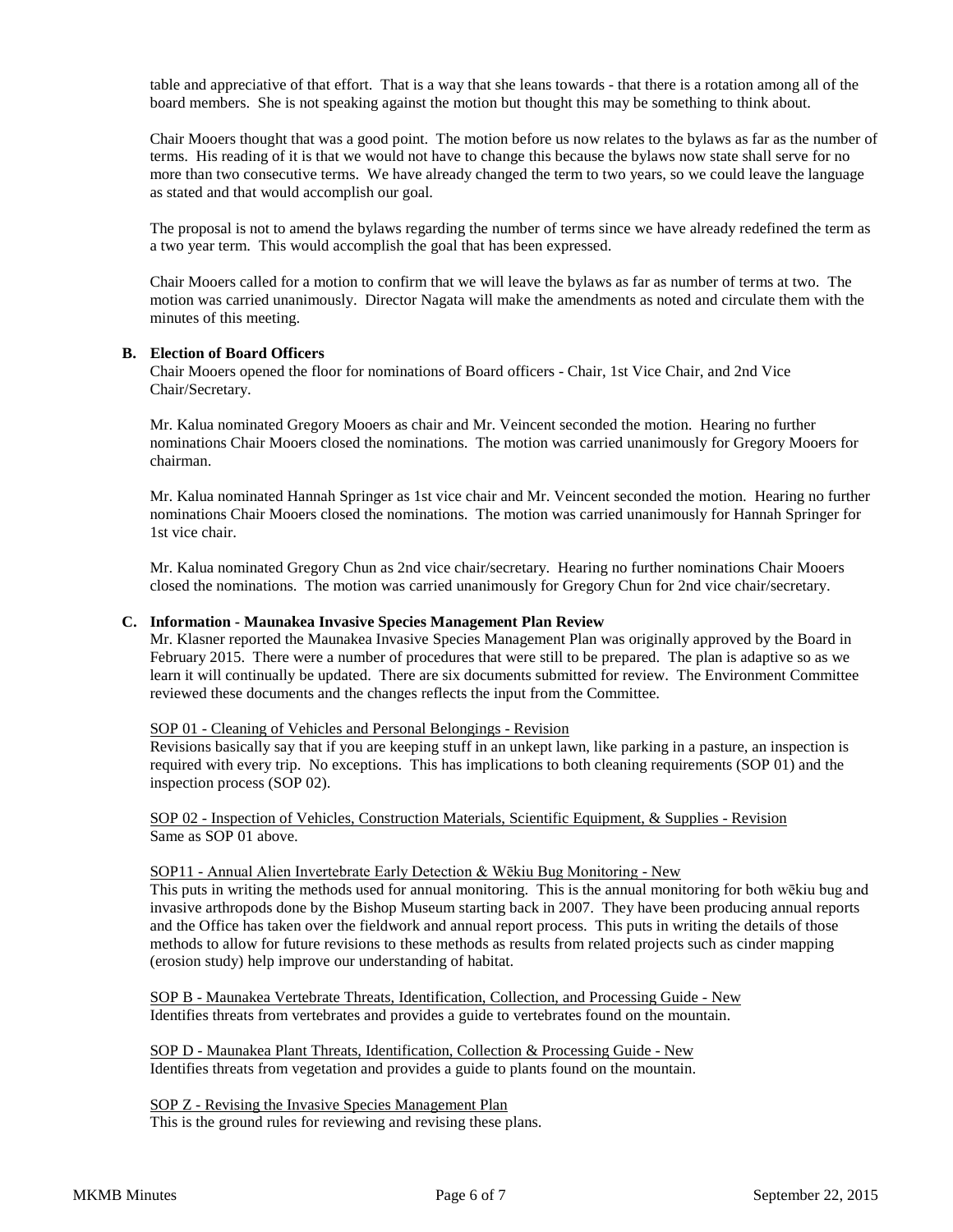table and appreciative of that effort. That is a way that she leans towards - that there is a rotation among all of the board members. She is not speaking against the motion but thought this may be something to think about.

Chair Mooers thought that was a good point. The motion before us now relates to the bylaws as far as the number of terms. His reading of it is that we would not have to change this because the bylaws now state shall serve for no more than two consecutive terms. We have already changed the term to two years, so we could leave the language as stated and that would accomplish our goal.

The proposal is not to amend the bylaws regarding the number of terms since we have already redefined the term as a two year term. This would accomplish the goal that has been expressed.

Chair Mooers called for a motion to confirm that we will leave the bylaws as far as number of terms at two. The motion was carried unanimously. Director Nagata will make the amendments as noted and circulate them with the minutes of this meeting.

## **B. Election of Board Officers**

Chair Mooers opened the floor for nominations of Board officers - Chair, 1st Vice Chair, and 2nd Vice Chair/Secretary.

Mr. Kalua nominated Gregory Mooers as chair and Mr. Veincent seconded the motion. Hearing no further nominations Chair Mooers closed the nominations. The motion was carried unanimously for Gregory Mooers for chairman.

Mr. Kalua nominated Hannah Springer as 1st vice chair and Mr. Veincent seconded the motion. Hearing no further nominations Chair Mooers closed the nominations. The motion was carried unanimously for Hannah Springer for 1st vice chair.

Mr. Kalua nominated Gregory Chun as 2nd vice chair/secretary. Hearing no further nominations Chair Mooers closed the nominations. The motion was carried unanimously for Gregory Chun for 2nd vice chair/secretary.

## **C. Information - Maunakea Invasive Species Management Plan Review**

Mr. Klasner reported the Maunakea Invasive Species Management Plan was originally approved by the Board in February 2015. There were a number of procedures that were still to be prepared. The plan is adaptive so as we learn it will continually be updated. There are six documents submitted for review. The Environment Committee reviewed these documents and the changes reflects the input from the Committee.

#### SOP 01 - Cleaning of Vehicles and Personal Belongings - Revision

Revisions basically say that if you are keeping stuff in an unkept lawn, like parking in a pasture, an inspection is required with every trip. No exceptions. This has implications to both cleaning requirements (SOP 01) and the inspection process (SOP 02).

SOP 02 - Inspection of Vehicles, Construction Materials, Scientific Equipment, & Supplies - Revision Same as SOP 01 above.

## SOP11 - Annual Alien Invertebrate Early Detection & Wēkiu Bug Monitoring - New

This puts in writing the methods used for annual monitoring. This is the annual monitoring for both wēkiu bug and invasive arthropods done by the Bishop Museum starting back in 2007. They have been producing annual reports and the Office has taken over the fieldwork and annual report process. This puts in writing the details of those methods to allow for future revisions to these methods as results from related projects such as cinder mapping (erosion study) help improve our understanding of habitat.

SOP B - Maunakea Vertebrate Threats, Identification, Collection, and Processing Guide - New Identifies threats from vertebrates and provides a guide to vertebrates found on the mountain.

SOP D - Maunakea Plant Threats, Identification, Collection & Processing Guide - New Identifies threats from vegetation and provides a guide to plants found on the mountain.

SOP Z - Revising the Invasive Species Management Plan This is the ground rules for reviewing and revising these plans.